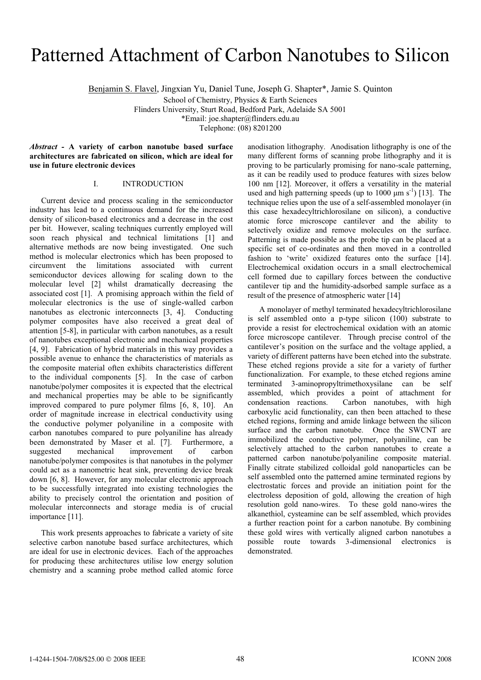# Patterned Attachment of Carbon Nanotubes to Silicon

Benjamin S. Flavel, Jingxian Yu, Daniel Tune, Joseph G. Shapter\*, Jamie S. Quinton

School of Chemistry, Physics & Earth Sciences

Flinders University, Sturt Road, Bedford Park, Adelaide SA 5001

\*Email: joe.shapter@flinders.edu.au

Telephone: (08) 8201200

*Abstract -* **A variety of carbon nanotube based surface architectures are fabricated on silicon, which are ideal for use in future electronic devices**

## I. INTRODUCTION

Current device and process scaling in the semiconductor industry has lead to a continuous demand for the increased density of silicon-based electronics and a decrease in the cost per bit. However, scaling techniques currently employed will soon reach physical and technical limitations [1] and alternative methods are now being investigated. One such method is molecular electronics which has been proposed to circumvent the limitations associated with current semiconductor devices allowing for scaling down to the molecular level [2] whilst dramatically decreasing the associated cost [1]. A promising approach within the field of molecular electronics is the use of single-walled carbon nanotubes as electronic interconnects [3, 4]. Conducting polymer composites have also received a great deal of attention [5-8], in particular with carbon nanotubes, as a result of nanotubes exceptional electronic and mechanical properties [4, 9]. Fabrication of hybrid materials in this way provides a possible avenue to enhance the characteristics of materials as the composite material often exhibits characteristics different to the individual components [5]. In the case of carbon nanotube/polymer composites it is expected that the electrical and mechanical properties may be able to be significantly improved compared to pure polymer films [6, 8, 10]. An order of magnitude increase in electrical conductivity using the conductive polymer polyaniline in a composite with carbon nanotubes compared to pure polyaniline has already been demonstrated by Maser et al. [7]. Furthermore, a suggested mechanical improvement of carbon nanotube/polymer composites is that nanotubes in the polymer could act as a nanometric heat sink, preventing device break down [6, 8]. However, for any molecular electronic approach to be successfully integrated into existing technologies the ability to precisely control the orientation and position of molecular interconnects and storage media is of crucial importance [11].

This work presents approaches to fabricate a variety of site selective carbon nanotube based surface architectures, which are ideal for use in electronic devices. Each of the approaches for producing these architectures utilise low energy solution chemistry and a scanning probe method called atomic force anodisation lithography. Anodisation lithography is one of the many different forms of scanning probe lithography and it is proving to be particularly promising for nano-scale patterning, as it can be readily used to produce features with sizes below 100 nm [12]. Moreover, it offers a versatility in the material used and high patterning speeds (up to  $1000 \mu m s^{-1}$ ) [13]. The technique relies upon the use of a self-assembled monolayer (in this case hexadecyltrichlorosilane on silicon), a conductive atomic force microscope cantilever and the ability to selectively oxidize and remove molecules on the surface. Patterning is made possible as the probe tip can be placed at a specific set of co-ordinates and then moved in a controlled fashion to 'write' oxidized features onto the surface [14]. Electrochemical oxidation occurs in a small electrochemical cell formed due to capillary forces between the conductive cantilever tip and the humidity-adsorbed sample surface as a result of the presence of atmospheric water [14]

A monolayer of methyl terminated hexadecyltrichlorosilane is self assembled onto a p-type silicon (100) substrate to provide a resist for electrochemical oxidation with an atomic force microscope cantilever. Through precise control of the cantilever's position on the surface and the voltage applied, a variety of different patterns have been etched into the substrate. These etched regions provide a site for a variety of further functionalization. For example, to these etched regions amine terminated 3-aminopropyltrimethoxysilane can be self assembled, which provides a point of attachment for condensation reactions. Carbon nanotubes, with high Carbon nanotubes, with high carboxylic acid functionality, can then been attached to these etched regions, forming and amide linkage between the silicon surface and the carbon nanotube. Once the SWCNT are immobilized the conductive polymer, polyaniline, can be selectively attached to the carbon nanotubes to create a patterned carbon nanotube/polyaniline composite material. Finally citrate stabilized colloidal gold nanoparticles can be self assembled onto the patterned amine terminated regions by electrostatic forces and provide an initiation point for the electroless deposition of gold, allowing the creation of high resolution gold nano-wires. To these gold nano-wires the alkanethiol, cysteamine can be self assembled, which provides a further reaction point for a carbon nanotube. By combining these gold wires with vertically aligned carbon nanotubes a possible route towards 3-dimensional electronics is demonstrated.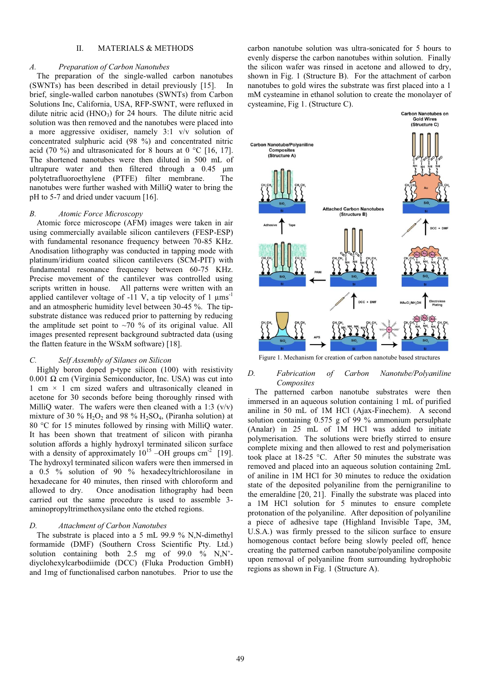# II. MATERIALS & METHODS

#### *A. Preparation of Carbon Nanotubes*

The preparation of the single-walled carbon nanotubes (SWNTs) has been described in detail previously [15]. In brief, single-walled carbon nanotubes (SWNTs) from Carbon Solutions Inc, California, USA, RFP-SWNT, were refluxed in dilute nitric acid  $(HNO<sub>3</sub>)$  for 24 hours. The dilute nitric acid solution was then removed and the nanotubes were placed into a more aggressive oxidiser, namely 3:1 v/v solution of concentrated sulphuric acid (98 %) and concentrated nitric acid (70 %) and ultrasonicated for 8 hours at 0  $\degree$ C [16, 17]. The shortened nanotubes were then diluted in 500 mL of ultrapure water and then filtered through a 0.45 μm polytetrafluoroethylene (PTFE) filter membrane. The nanotubes were further washed with MilliQ water to bring the pH to 5-7 and dried under vacuum [16].

## *B. Atomic Force Microscopy*

Atomic force microscope (AFM) images were taken in air using commercially available silicon cantilevers (FESP-ESP) with fundamental resonance frequency between 70-85 KHz. Anodisation lithography was conducted in tapping mode with platinum/iridium coated silicon cantilevers (SCM-PIT) with fundamental resonance frequency between 60-75 KHz. Precise movement of the cantilever was controlled using scripts written in house. All patterns were written with an applied cantilever voltage of  $-11$  V, a tip velocity of 1  $\mu$ ms<sup>-1</sup> and an atmospheric humidity level between 30-45 %. The tipsubstrate distance was reduced prior to patterning by reducing the amplitude set point to  $\sim$ 70 % of its original value. All images presented represent background subtracted data (using the flatten feature in the WSxM software) [18].

# *C. Self Assembly of Silanes on Silicon*

Highly boron doped p-type silicon (100) with resistivity 0.001 Ω cm (Virginia Semiconductor, Inc. USA) was cut into 1 cm  $\times$  1 cm sized wafers and ultrasonically cleaned in acetone for 30 seconds before being thoroughly rinsed with MilliQ water. The wafers were then cleaned with a 1:3  $(v/v)$ mixture of 30 %  $H_2O_2$  and 98 %  $H_2SO_4$ , (Piranha solution) at 80 °C for 15 minutes followed by rinsing with MilliQ water. It has been shown that treatment of silicon with piranha solution affords a highly hydroxyl terminated silicon surface with a density of approximately  $10^{15}$  –OH groups cm<sup>-2</sup> [19]. The hydroxyl terminated silicon wafers were then immersed in a 0.5 % solution of 90 % hexadecyltrichlorosilane in hexadecane for 40 minutes, then rinsed with chloroform and allowed to dry. Once anodisation lithography had been carried out the same procedure is used to assemble 3 aminopropyltrimethoxysilane onto the etched regions.

# *D. Attachment of Carbon Nanotubes*

The substrate is placed into a 5 mL 99.9 % N,N-dimethyl formamide (DMF) (Southern Cross Scientific Pty. Ltd.) solution containing both 2.5 mg of 99.0 % N,N' diyclohexylcarbodiimide (DCC) (Fluka Production GmbH) and 1mg of functionalised carbon nanotubes. Prior to use the

carbon nanotube solution was ultra-sonicated for 5 hours to evenly disperse the carbon nanotubes within solution. Finally the silicon wafer was rinsed in acetone and allowed to dry, shown in Fig. 1 (Structure B). For the attachment of carbon nanotubes to gold wires the substrate was first placed into a 1 mM cysteamine in ethanol solution to create the monolayer of cysteamine, Fig 1. (Structure C).



Figure 1. Mechanism for creation of carbon nanotube based structures

## *D. Fabrication of Carbon Nanotube/Polyaniline Composites*

The patterned carbon nanotube substrates were then immersed in an aqueous solution containing 1 mL of purified aniline in 50 mL of 1M HCl (Ajax-Finechem). A second solution containing 0.575 g of 99 % ammonium persulphate  $(Analar)$  in 25 mL of  $IM$  HCl was added to initiate polymerisation. The solutions were briefly stirred to ensure complete mixing and then allowed to rest and polymerisation took place at 18-25 °C. After 50 minutes the substrate was removed and placed into an aqueous solution containing 2mL of aniline in 1M HCl for 30 minutes to reduce the oxidation state of the deposited polyaniline from the pernigraniline to the emeraldine [20, 21]. Finally the substrate was placed into a 1M HCl solution for 5 minutes to ensure complete protonation of the polyaniline. After deposition of polyaniline a piece of adhesive tape (Highland Invisible Tape, 3M, U.S.A.) was firmly pressed to the silicon surface to ensure homogenous contact before being slowly peeled off, hence creating the patterned carbon nanotube/polyaniline composite upon removal of polyaniline from surrounding hydrophobic regions as shown in Fig. 1 (Structure A).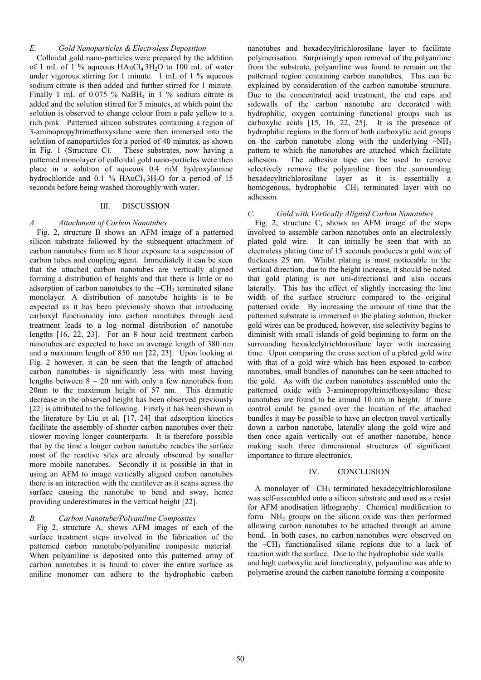# *E. Gold Nanoparticles & Electroless Deposition*

Colloidal gold nano-particles were prepared by the addition of 1 mL of 1 % aqueous  $HAuCl_4 3H_2O$  to 100 mL of water under vigorous stirring for 1 minute. 1 mL of 1 % aqueous sodium citrate is then added and further stirred for 1 minute. Finally 1 mL of 0.075 %  $NaBH<sub>4</sub>$  in 1 % sodium citrate is added and the solution stirred for 5 minutes, at which point the solution is observed to change colour from a pale yellow to a rich pink. Patterned silicon substrates containing a region of 3-aminopropyltrimethoxysilane were then immersed into the solution of nanoparticles for a period of 40 minutes, as shown in Fig. 1 (Structure C). These substrates, now having a patterned monolayer of colloidal gold nano-particles were then place in a solution of aqueous 0.4 mM hydroxylamine hydrochloride and  $0.1\%$  HAuCl<sub>4</sub>3H<sub>2</sub>O for a period of 15 seconds before being washed thoroughly with water.

#### III. DISCUSSION

## *A. Attachment of Carbon Nanotubes*

Fig. 2, structure B shows an AFM image of a patterned silicon substrate followed by the subsequent attachment of carbon nanotubes from an 8 hour exposure to a suspension of carbon tubes and coupling agent. Immediately it can be seen that the attached carbon nanotubes are vertically aligned forming a distribution of heights and that there is little or no adsorption of carbon nanotubes to the  $-CH<sub>3</sub>$  terminated silane monolayer. A distribution of nanotube heights is to be expected as it has been previously shown that introducing carboxyl functionality into carbon nanotubes through acid treatment leads to a log normal distribution of nanotube lengths [16, 22, 23]. For an 8 hour acid treatment carbon nanotubes are expected to have an average length of 380 nm and a maximum length of 850 nm [22, 23]. Upon looking at Fig. 2 however, it can be seen that the length of attached carbon nanotubes is significantly less with most having lengths between  $8 - 20$  nm with only a few nanotubes from 20nm to the maximum height of 57 nm. This dramatic decrease in the observed height has been observed previously [22] is attributed to the following. Firstly it has been shown in the literature by Liu et al. [17, 24] that adsorption kinetics facilitate the assembly of shorter carbon nanotubes over their slower moving longer counterparts. It is therefore possible that by the time a longer carbon nanotube reaches the surface most of the reactive sites are already obscured by smaller more mobile nanotubes. Secondly it is possible in that in using an AFM to image vertically aligned carbon nanotubes there is an interaction with the cantilever as it scans across the surface causing the nanotube to bend and sway, hence providing underestimates in the vertical height [22].

# *B. Carbon Nanotube/Polyaniline Composites*

Fig 2, structure A, shows AFM images of each of the surface treatment steps involved in the fabrication of the patterned carbon nanotube/polyaniline composite material. When polyaniline is deposited onto this patterned array of carbon nanotubes it is found to cover the entire surface as aniline monomer can adhere to the hydrophobic carbon nanotubes and hexadecyltrichlorosilane layer to facilitate polymerisation. Surprisingly upon removal of the polyaniline from the substrate, polyaniline was found to remain on the patterned region containing carbon nanotubes. This can be explained by consideration of the carbon nanotube structure. Due to the concentrated acid treatment, the end caps and sidewalls of the carbon nanotube are decorated with hydrophilic, oxygen containing functional groups such as carboxylic acids [15, 16, 22, 25]. It is the presence of hydrophilic regions in the form of both carboxylic acid groups on the carbon nanotube along with the underlying  $-NH<sub>2</sub>$ pattern to which the nanotubes are attached which facilitate adhesion. The adhesive tape can be used to remove selectively remove the polyaniline from the surrounding hexadecyltrichlorosilane layer as it is essentially a homogenous, hydrophobic  $-CH_3$  terminated layer with no adhesion.

#### *C. Gold with Vertically Aligned Carbon Nanotubes*

Fig. 2, structure C, shows an AFM image of the steps involved to assemble carbon nanotubes onto an electrolessly plated gold wire. It can initially be seen that with an electroless plating time of 15 seconds produces a gold wire of thickness 25 nm. Whilst plating is most noticeable in the vertical direction, due to the height increase, it should be noted that gold plating is not uni-directional and also occurs laterally. This has the effect of slightly increasing the line width of the surface structure compared to the original patterned oxide. By increasing the amount of time that the patterned substrate is immersed in the plating solution, thicker gold wires can be produced, however, site selectivity begins to diminish with small islands of gold beginning to form on the surrounding hexadeclytrichlorosilane layer with increasing time. Upon comparing the cross section of a plated gold wire with that of a gold wire which has been exposed to carbon nanotubes, small bundles of nanotubes can be seen attached to the gold. As with the carbon nanotubes assembled onto the patterned oxide with 3-aminopropyltrimethoxysilane these nanotubes are found to be around 10 nm in height. If more control could be gained over the location of the attached bundles it may be possible to have an electron travel vertically down a carbon nanotube, laterally along the gold wire and then once again vertically out of another nanotube, hence making such three dimensional structures of significant importance to future electronics.

## IV. CONCLUSION

A monolayer of  $-CH_3$  terminated hexadecyltrichlorosilane was self-assembled onto a silicon substrate and used as a resist for AFM anodisation lithography. Chemical modification to form  $-NH<sub>2</sub>$  groups on the silicon oxide was then performed allowing carbon nanotubes to be attached through an amine bond. In both cases, no carbon nanotubes were observed on the  $-CH_3$  functionalised silane regions due to a lack of reaction with the surface. Due to the hydrophobic side walls and high carboxylic acid functionality, polyaniline was able to polymerise around the carbon nanotube forming a composite